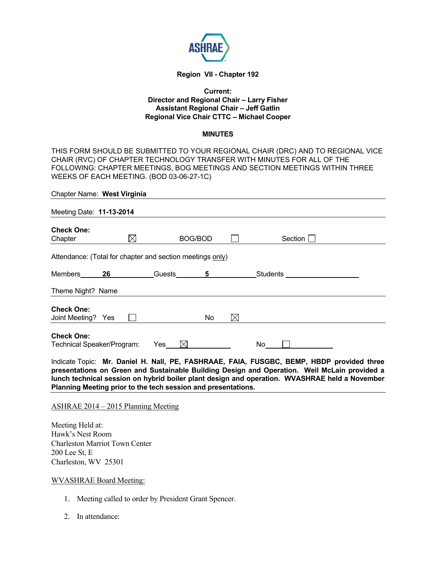

## **Region VII - Chapter 192**

### **Current: Director and Regional Chair – Larry Fisher Assistant Regional Chair – Jeff Gatlin Regional Vice Chair CTTC – Michael Cooper**

#### **MINUTES**

THIS FORM SHOULD BE SUBMITTED TO YOUR REGIONAL CHAIR (DRC) AND TO REGIONAL VICE CHAIR (RVC) OF CHAPTER TECHNOLOGY TRANSFER WITH MINUTES FOR ALL OF THE FOLLOWING: CHAPTER MEETINGS, BOG MEETINGS AND SECTION MEETINGS WITHIN THREE WEEKS OF EACH MEETING. (BOD 03-06-27-1C)

| Chapter Name: West Virginia                               |           |           |         |             |          |  |
|-----------------------------------------------------------|-----------|-----------|---------|-------------|----------|--|
| Meeting Date: 11-13-2014                                  |           |           |         |             |          |  |
| <b>Check One:</b><br>Chapter                              | $\bowtie$ |           | BOG/BOD |             | Section  |  |
| Attendance: (Total for chapter and section meetings only) |           |           |         |             |          |  |
| <b>Members</b>                                            | 26        | Guests    | 5       |             | Students |  |
| Theme Night? Name                                         |           |           |         |             |          |  |
| <b>Check One:</b><br>Joint Meeting? Yes                   |           |           | No      | $\boxtimes$ |          |  |
| <b>Check One:</b><br>Technical Speaker/Program:           |           | Yes<br>IX |         |             | No       |  |

Indicate Topic: **Mr. Daniel H. Nall, PE, FASHRAAE, FAIA, FUSGBC, BEMP, HBDP provided three presentations on Green and Sustainable Building Design and Operation. Weil McLain provided a lunch technical session on hybrid boiler plant design and operation. WVASHRAE held a November Planning Meeting prior to the tech session and presentations.** 

#### ASHRAE 2014 – 2015 Planning Meeting

Meeting Held at: Hawk's Nest Room Charleston Marriot Town Center 200 Lee St, E Charleston, WV 25301

#### WVASHRAE Board Meeting:

- 1. Meeting called to order by President Grant Spencer.
- 2. In attendance: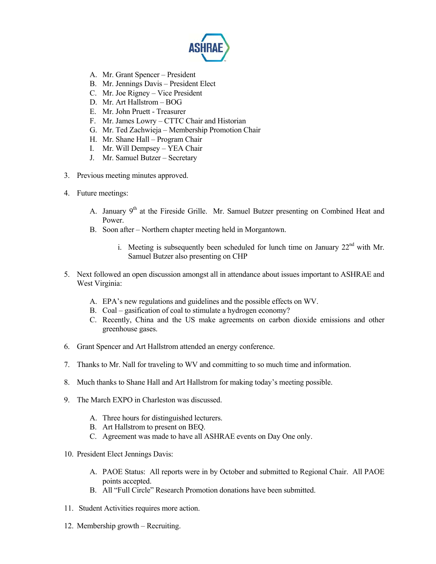

- A. Mr. Grant Spencer President
- B. Mr. Jennings Davis President Elect
- C. Mr. Joe Rigney Vice President
- D. Mr. Art Hallstrom BOG
- E. Mr. John Pruett Treasurer
- F. Mr. James Lowry CTTC Chair and Historian
- G. Mr. Ted Zachwieja Membership Promotion Chair
- H. Mr. Shane Hall Program Chair
- I. Mr. Will Dempsey YEA Chair
- J. Mr. Samuel Butzer Secretary
- 3. Previous meeting minutes approved.
- 4. Future meetings:
	- A. January 9<sup>th</sup> at the Fireside Grille. Mr. Samuel Butzer presenting on Combined Heat and Power.
	- B. Soon after Northern chapter meeting held in Morgantown.
		- i. Meeting is subsequently been scheduled for lunch time on January  $22<sup>nd</sup>$  with Mr. Samuel Butzer also presenting on CHP
- 5. Next followed an open discussion amongst all in attendance about issues important to ASHRAE and West Virginia:
	- A. EPA's new regulations and guidelines and the possible effects on WV.
	- B. Coal gasification of coal to stimulate a hydrogen economy?
	- C. Recently, China and the US make agreements on carbon dioxide emissions and other greenhouse gases.
- 6. Grant Spencer and Art Hallstrom attended an energy conference.
- 7. Thanks to Mr. Nall for traveling to WV and committing to so much time and information.
- 8. Much thanks to Shane Hall and Art Hallstrom for making today's meeting possible.
- 9. The March EXPO in Charleston was discussed.
	- A. Three hours for distinguished lecturers.
	- B. Art Hallstrom to present on BEQ.
	- C. Agreement was made to have all ASHRAE events on Day One only.
- 10. President Elect Jennings Davis:
	- A. PAOE Status: All reports were in by October and submitted to Regional Chair. All PAOE points accepted.
	- B. All "Full Circle" Research Promotion donations have been submitted.
- 11. Student Activities requires more action.
- 12. Membership growth Recruiting.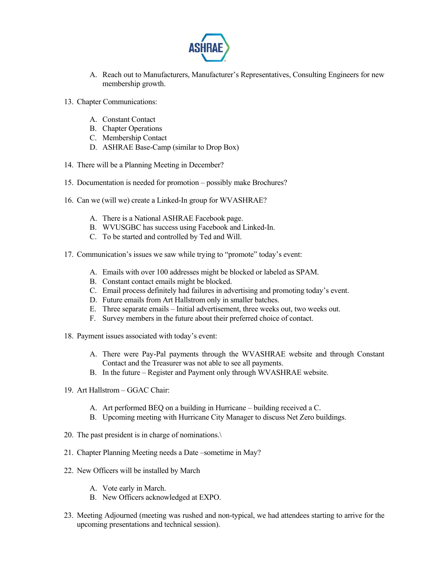

- A. Reach out to Manufacturers, Manufacturer's Representatives, Consulting Engineers for new membership growth.
- 13. Chapter Communications:
	- A. Constant Contact
	- B. Chapter Operations
	- C. Membership Contact
	- D. ASHRAE Base-Camp (similar to Drop Box)
- 14. There will be a Planning Meeting in December?
- 15. Documentation is needed for promotion possibly make Brochures?
- 16. Can we (will we) create a Linked-In group for WVASHRAE?
	- A. There is a National ASHRAE Facebook page.
	- B. WVUSGBC has success using Facebook and Linked-In.
	- C. To be started and controlled by Ted and Will.
- 17. Communication's issues we saw while trying to "promote" today's event:
	- A. Emails with over 100 addresses might be blocked or labeled as SPAM.
	- B. Constant contact emails might be blocked.
	- C. Email process definitely had failures in advertising and promoting today's event.
	- D. Future emails from Art Hallstrom only in smaller batches.
	- E. Three separate emails Initial advertisement, three weeks out, two weeks out.
	- F. Survey members in the future about their preferred choice of contact.
- 18. Payment issues associated with today's event:
	- A. There were Pay-Pal payments through the WVASHRAE website and through Constant Contact and the Treasurer was not able to see all payments.
	- B. In the future Register and Payment only through WVASHRAE website.
- 19. Art Hallstrom GGAC Chair:
	- A. Art performed BEQ on a building in Hurricane building received a C.
	- B. Upcoming meeting with Hurricane City Manager to discuss Net Zero buildings.
- 20. The past president is in charge of nominations.\
- 21. Chapter Planning Meeting needs a Date –sometime in May?
- 22. New Officers will be installed by March
	- A. Vote early in March.
	- B. New Officers acknowledged at EXPO.
- 23. Meeting Adjourned (meeting was rushed and non-typical, we had attendees starting to arrive for the upcoming presentations and technical session).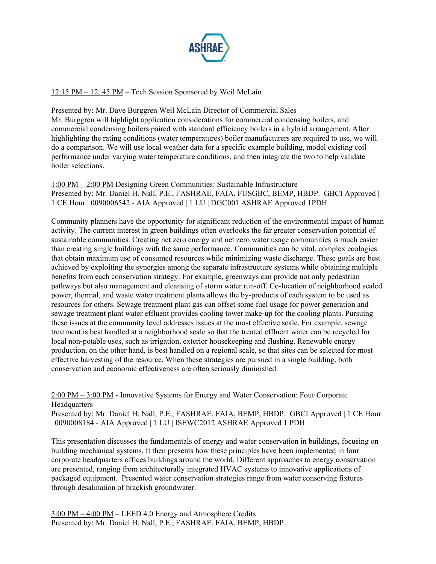

# 12:15 PM – 12: 45 PM – Tech Session Sponsored by Weil McLain

Presented by: Mr. Dave Burggren Weil McLain Director of Commercial Sales Mr. Burggren will highlight application considerations for commercial condensing boilers, and commercial condensing boilers paired with standard efficiency boilers in a hybrid arrangement. After highlighting the rating conditions (water temperatures) boiler manufacturers are required to use, we will do a comparison. We will use local weather data for a specific example building, model existing coil performance under varying water temperature conditions, and then integrate the two to help validate boiler selections.

1:00 PM – 2:00 PM Designing Green Communities: Sustainable Infrastructure Presented by: Mr. Daniel H. Nall, P.E., FASHRAE, FAIA, FUSGBC, BEMP, HBDP. GBCI Approved | 1 CE Hour | 0090006542 ‐ AIA Approved | 1 LU | DGC001 ASHRAE Approved 1PDH

Community planners have the opportunity for significant reduction of the environmental impact of human activity. The current interest in green buildings often overlooks the far greater conservation potential of sustainable communities. Creating net zero energy and net zero water usage communities is much easier than creating single buildings with the same performance. Communities can be vital, complex ecologies that obtain maximum use of consumed resources while minimizing waste discharge. These goals are best achieved by exploiting the synergies among the separate infrastructure systems while obtaining multiple benefits from each conservation strategy. For example, greenways can provide not only pedestrian pathways but also management and cleansing of storm water run-off. Co-location of neighborhood scaled power, thermal, and waste water treatment plants allows the by-products of each system to be used as resources for others. Sewage treatment plant gas can offset some fuel usage for power generation and sewage treatment plant water effluent provides cooling tower make‐up for the cooling plants. Pursuing these issues at the community level addresses issues at the most effective scale. For example, sewage treatment is best handled at a neighborhood scale so that the treated effluent water can be recycled for local non‐potable uses, such as irrigation, exterior housekeeping and flushing. Renewable energy production, on the other hand, is best handled on a regional scale, so that sites can be selected for most effective harvesting of the resource. When these strategies are pursued in a single building, both conservation and economic effectiveness are often seriously diminished.

2:00 PM – 3:00 PM ‐ Innovative Systems for Energy and Water Conservation: Four Corporate **Headquarters** Presented by: Mr. Daniel H. Nall, P.E., FASHRAE, FAIA, BEMP, HBDP. GBCI Approved | 1 CE Hour | 0090008184 ‐ AIA Approved | 1 LU | ISEWC2012 ASHRAE Approved 1 PDH

This presentation discusses the fundamentals of energy and water conservation in buildings, focusing on building mechanical systems. It then presents how these principles have been implemented in four corporate headquarters offices buildings around the world. Different approaches to energy conservation are presented, ranging from architecturally integrated HVAC systems to innovative applications of packaged equipment. Presented water conservation strategies range from water conserving fixtures through desalination of brackish groundwater.